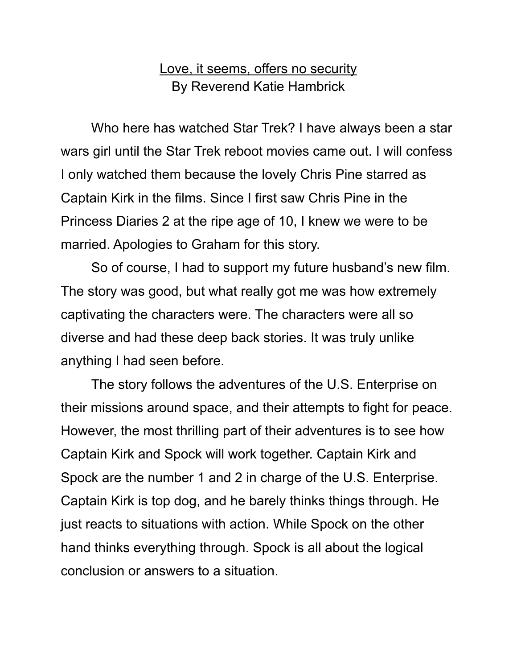## Love, it seems, offers no security By Reverend Katie Hambrick

Who here has watched Star Trek? I have always been a star wars girl until the Star Trek reboot movies came out. I will confess I only watched them because the lovely Chris Pine starred as Captain Kirk in the films. Since I first saw Chris Pine in the Princess Diaries 2 at the ripe age of 10, I knew we were to be married. Apologies to Graham for this story.

So of course, I had to support my future husband's new film. The story was good, but what really got me was how extremely captivating the characters were. The characters were all so diverse and had these deep back stories. It was truly unlike anything I had seen before.

The story follows the adventures of the U.S. Enterprise on their missions around space, and their attempts to fight for peace. However, the most thrilling part of their adventures is to see how Captain Kirk and Spock will work together. Captain Kirk and Spock are the number 1 and 2 in charge of the U.S. Enterprise. Captain Kirk is top dog, and he barely thinks things through. He just reacts to situations with action. While Spock on the other hand thinks everything through. Spock is all about the logical conclusion or answers to a situation.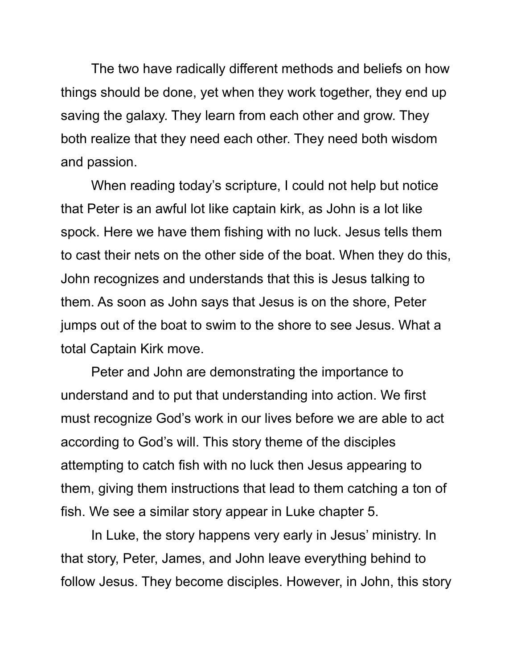The two have radically different methods and beliefs on how things should be done, yet when they work together, they end up saving the galaxy. They learn from each other and grow. They both realize that they need each other. They need both wisdom and passion.

When reading today's scripture, I could not help but notice that Peter is an awful lot like captain kirk, as John is a lot like spock. Here we have them fishing with no luck. Jesus tells them to cast their nets on the other side of the boat. When they do this, John recognizes and understands that this is Jesus talking to them. As soon as John says that Jesus is on the shore, Peter jumps out of the boat to swim to the shore to see Jesus. What a total Captain Kirk move.

Peter and John are demonstrating the importance to understand and to put that understanding into action. We first must recognize God's work in our lives before we are able to act according to God's will. This story theme of the disciples attempting to catch fish with no luck then Jesus appearing to them, giving them instructions that lead to them catching a ton of fish. We see a similar story appear in Luke chapter 5.

In Luke, the story happens very early in Jesus' ministry. In that story, Peter, James, and John leave everything behind to follow Jesus. They become disciples. However, in John, this story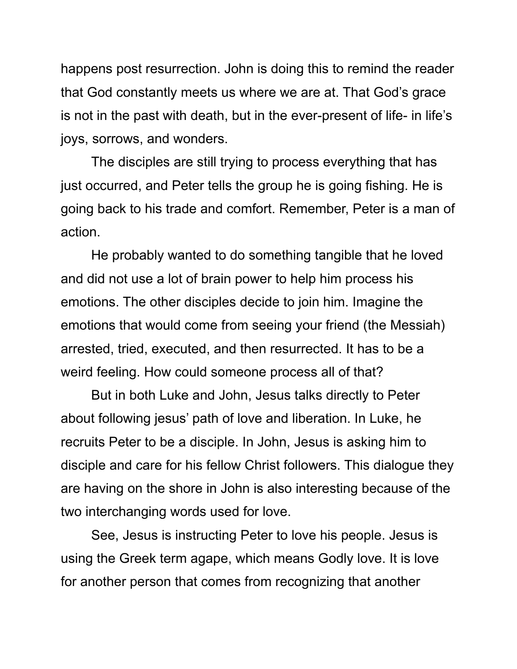happens post resurrection. John is doing this to remind the reader that God constantly meets us where we are at. That God's grace is not in the past with death, but in the ever-present of life- in life's joys, sorrows, and wonders.

The disciples are still trying to process everything that has just occurred, and Peter tells the group he is going fishing. He is going back to his trade and comfort. Remember, Peter is a man of action.

He probably wanted to do something tangible that he loved and did not use a lot of brain power to help him process his emotions. The other disciples decide to join him. Imagine the emotions that would come from seeing your friend (the Messiah) arrested, tried, executed, and then resurrected. It has to be a weird feeling. How could someone process all of that?

But in both Luke and John, Jesus talks directly to Peter about following jesus' path of love and liberation. In Luke, he recruits Peter to be a disciple. In John, Jesus is asking him to disciple and care for his fellow Christ followers. This dialogue they are having on the shore in John is also interesting because of the two interchanging words used for love.

See, Jesus is instructing Peter to love his people. Jesus is using the Greek term agape, which means Godly love. It is love for another person that comes from recognizing that another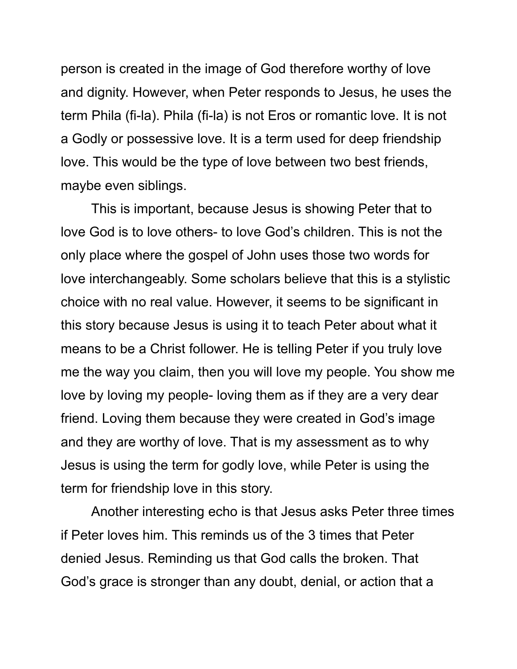person is created in the image of God therefore worthy of love and dignity. However, when Peter responds to Jesus, he uses the term Phila (fi-la). Phila (fi-la) is not Eros or romantic love. It is not a Godly or possessive love. It is a term used for deep friendship love. This would be the type of love between two best friends, maybe even siblings.

This is important, because Jesus is showing Peter that to love God is to love others- to love God's children. This is not the only place where the gospel of John uses those two words for love interchangeably. Some scholars believe that this is a stylistic choice with no real value. However, it seems to be significant in this story because Jesus is using it to teach Peter about what it means to be a Christ follower. He is telling Peter if you truly love me the way you claim, then you will love my people. You show me love by loving my people- loving them as if they are a very dear friend. Loving them because they were created in God's image and they are worthy of love. That is my assessment as to why Jesus is using the term for godly love, while Peter is using the term for friendship love in this story.

Another interesting echo is that Jesus asks Peter three times if Peter loves him. This reminds us of the 3 times that Peter denied Jesus. Reminding us that God calls the broken. That God's grace is stronger than any doubt, denial, or action that a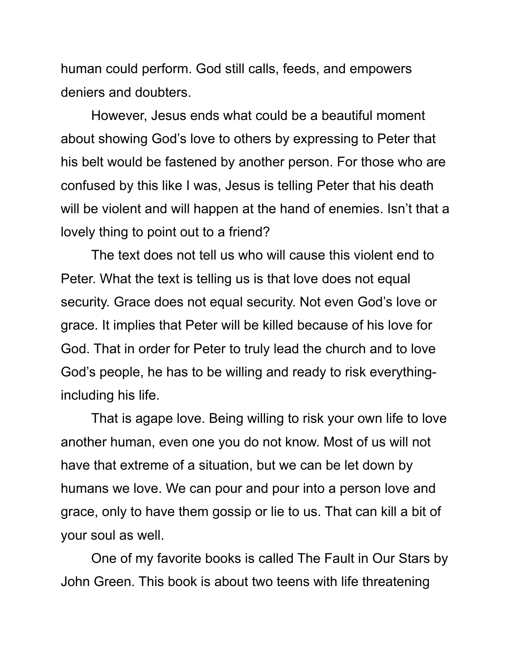human could perform. God still calls, feeds, and empowers deniers and doubters.

However, Jesus ends what could be a beautiful moment about showing God's love to others by expressing to Peter that his belt would be fastened by another person. For those who are confused by this like I was, Jesus is telling Peter that his death will be violent and will happen at the hand of enemies. Isn't that a lovely thing to point out to a friend?

The text does not tell us who will cause this violent end to Peter. What the text is telling us is that love does not equal security. Grace does not equal security. Not even God's love or grace. It implies that Peter will be killed because of his love for God. That in order for Peter to truly lead the church and to love God's people, he has to be willing and ready to risk everythingincluding his life.

That is agape love. Being willing to risk your own life to love another human, even one you do not know. Most of us will not have that extreme of a situation, but we can be let down by humans we love. We can pour and pour into a person love and grace, only to have them gossip or lie to us. That can kill a bit of your soul as well.

One of my favorite books is called The Fault in Our Stars by John Green. This book is about two teens with life threatening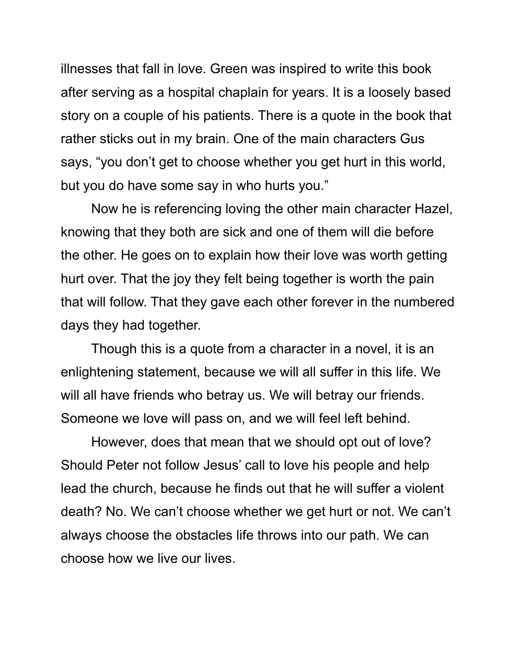illnesses that fall in love. Green was inspired to write this book after serving as a hospital chaplain for years. It is a loosely based story on a couple of his patients. There is a quote in the book that rather sticks out in my brain. One of the main characters Gus says, "you don't get to choose whether you get hurt in this world, but you do have some say in who hurts you."

Now he is referencing loving the other main character Hazel, knowing that they both are sick and one of them will die before the other. He goes on to explain how their love was worth getting hurt over. That the joy they felt being together is worth the pain that will follow. That they gave each other forever in the numbered days they had together.

Though this is a quote from a character in a novel, it is an enlightening statement, because we will all suffer in this life. We will all have friends who betray us. We will betray our friends. Someone we love will pass on, and we will feel left behind.

However, does that mean that we should opt out of love? Should Peter not follow Jesus' call to love his people and help lead the church, because he finds out that he will suffer a violent death? No. We can't choose whether we get hurt or not. We can't always choose the obstacles life throws into our path. We can choose how we live our lives.